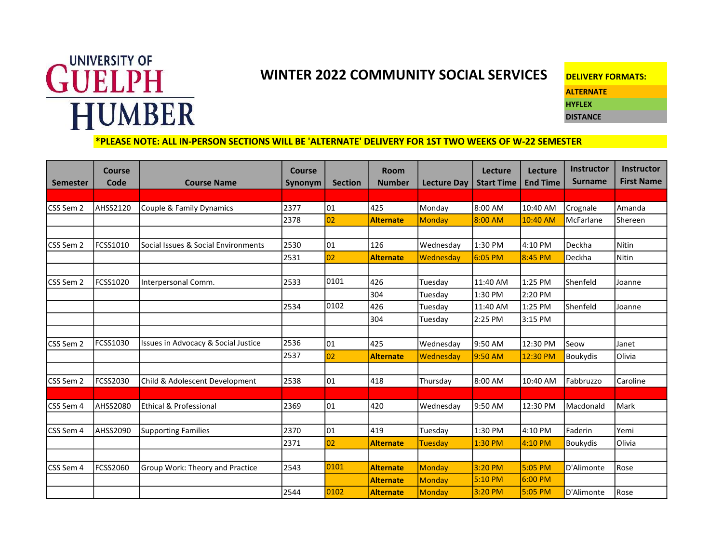## WINTER 2022 COMMUNITY SOCIAL SERVICES DELIVERY FORMATS:<br>
WINTER 2022 COMMUNITY SOCIAL SERVICES DELIVERY FORMATS: **HUMBER**

**ALTERNATE** HYFLEX

DISTANCE

## \*PLEASE NOTE: ALL IN-PERSON SECTIONS WILL BE 'ALTERNATE' DELIVERY FOR 1ST TWO WEEKS OF W-22 SEMESTER

|                 | <b>Course</b><br>Code | <b>Course Name</b>                  | <b>Course</b>  | <b>Section</b> | <b>Room</b><br><b>Number</b> | <b>Lecture Day</b> | Lecture<br><b>Start Time</b> | Lecture<br><b>End Time</b> | Instructor<br><b>Surname</b> | <b>Instructor</b><br><b>First Name</b> |
|-----------------|-----------------------|-------------------------------------|----------------|----------------|------------------------------|--------------------|------------------------------|----------------------------|------------------------------|----------------------------------------|
| <b>Semester</b> |                       |                                     | <b>Synonym</b> |                |                              |                    |                              |                            |                              |                                        |
| CSS Sem 2       | AHSS2120              | Couple & Family Dynamics            | 2377           | 01             | 425                          | Monday             | 8:00 AM                      | 10:40 AM                   | Crognale                     | Amanda                                 |
|                 |                       |                                     | 2378           | 02             | <b>Alternate</b>             | <b>Monday</b>      | 8:00 AM                      | 10:40 AM                   | McFarlane                    | Shereen                                |
|                 |                       |                                     |                |                |                              |                    |                              |                            |                              |                                        |
| CSS Sem 2       | FCSS1010              | Social Issues & Social Environments | 2530           | 01             | 126                          | Wednesday          | 1:30 PM                      | 4:10 PM                    | Deckha                       | Nitin                                  |
|                 |                       |                                     | 2531           | 02             | Alternate                    | Wednesday          | $6:05$ PM                    | 8:45 PM                    | Deckha                       | Nitin                                  |
|                 |                       |                                     |                |                |                              |                    |                              |                            |                              |                                        |
| CSS Sem 2       | FCSS1020              | Interpersonal Comm.                 | 2533           | 0101           | 426                          | Tuesday            | 11:40 AM                     | 1:25 PM                    | Shenfeld                     | Joanne                                 |
|                 |                       |                                     |                |                | 304                          | Tuesday            | 1:30 PM                      | 2:20 PM                    |                              |                                        |
|                 |                       |                                     | 2534           | 0102           | 426                          | Tuesday            | 11:40 AM                     | 1:25 PM                    | l Shenfeld                   | Joanne                                 |
|                 |                       |                                     |                |                | 304                          | Tuesday            | 2:25 PM                      | 3:15 PM                    |                              |                                        |
|                 |                       |                                     |                |                |                              |                    |                              |                            |                              |                                        |
| CSS Sem 2       | FCSS1030              | Issues in Advocacy & Social Justice | 2536           | 01             | 425                          | Wednesday          | 9:50 AM                      | 12:30 PM                   | Seow                         | Janet                                  |
|                 |                       |                                     | 2537           | 02             | <b>Alternate</b>             | Wednesday          | 9:50 AM                      | 12:30 PM                   | Boukydis                     | <b>Olivia</b>                          |
|                 |                       |                                     |                |                |                              |                    |                              |                            |                              |                                        |
| CSS Sem 2       | FCSS2030              | Child & Adolescent Development      | 2538           | 01             | 418                          | Thursday           | 8:00 AM                      | 10:40 AM                   | Fabbruzzo                    | Caroline                               |
|                 |                       |                                     |                |                |                              |                    |                              |                            |                              |                                        |
| CSS Sem 4       | AHSS2080              | Ethical & Professional              | 2369           | 01             | 420                          | Wednesday          | 9:50 AM                      | 12:30 PM                   | Macdonald                    | Mark                                   |
|                 |                       |                                     |                |                |                              |                    |                              |                            |                              |                                        |
| CSS Sem 4       | <b>AHSS2090</b>       | <b>Supporting Families</b>          | 2370           | 01             | 419                          | Tuesday            | 1:30 PM                      | 4:10 PM                    | Faderin                      | Yemi                                   |
|                 |                       |                                     | 2371           | 02             | <b>Alternate</b>             | Tuesday            | 1:30 PM                      | 4:10 PM                    | <b>Boukydis</b>              | <b>Olivia</b>                          |
|                 |                       |                                     |                |                |                              |                    |                              |                            |                              |                                        |
| CSS Sem 4       | FCSS2060              | Group Work: Theory and Practice     | 2543           | 0101           | Alternate                    | <b>Monday</b>      | 3:20 PM                      | 5:05 PM                    | D'Alimonte                   | Rose                                   |
|                 |                       |                                     |                |                | <b>Alternate</b>             | <b>Monday</b>      | 5:10 PM                      | 6:00 PM                    |                              |                                        |
|                 |                       |                                     | 2544           | 0102           | <b>Alternate</b>             | Monday             | 3:20 PM                      | 5:05 PM                    | D'Alimonte                   | Rose                                   |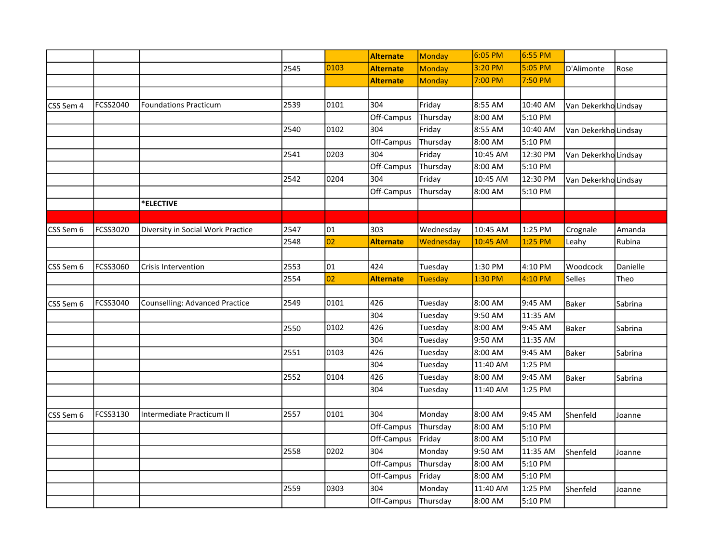|           |          |                                   |      |      | <b>Alternate</b> | Monday         | 6:05 PM  | 6:55 PM  |                      |          |
|-----------|----------|-----------------------------------|------|------|------------------|----------------|----------|----------|----------------------|----------|
|           |          |                                   | 2545 | 0103 | <b>Alternate</b> | <b>Monday</b>  | 3:20 PM  | 5:05 PM  | D'Alimonte           | Rose     |
|           |          |                                   |      |      | <b>Alternate</b> | <b>Monday</b>  | 7:00 PM  | 7:50 PM  |                      |          |
|           |          |                                   |      |      |                  |                |          |          |                      |          |
| CSS Sem 4 | FCSS2040 | <b>Foundations Practicum</b>      | 2539 | 0101 | 304              | Friday         | 8:55 AM  | 10:40 AM | Van Dekerkho Lindsay |          |
|           |          |                                   |      |      | Off-Campus       | Thursday       | 8:00 AM  | 5:10 PM  |                      |          |
|           |          |                                   | 2540 | 0102 | 304              | Friday         | 8:55 AM  | 10:40 AM | Van Dekerkho Lindsay |          |
|           |          |                                   |      |      | Off-Campus       | Thursday       | 8:00 AM  | 5:10 PM  |                      |          |
|           |          |                                   | 2541 | 0203 | 304              | Friday         | 10:45 AM | 12:30 PM | Van DekerkhoLindsay  |          |
|           |          |                                   |      |      | Off-Campus       | Thursday       | 8:00 AM  | 5:10 PM  |                      |          |
|           |          |                                   | 2542 | 0204 | 304              | Friday         | 10:45 AM | 12:30 PM | Van Dekerkho Lindsay |          |
|           |          |                                   |      |      | Off-Campus       | Thursday       | 8:00 AM  | 5:10 PM  |                      |          |
|           |          | *ELECTIVE                         |      |      |                  |                |          |          |                      |          |
|           |          |                                   |      |      |                  |                |          |          |                      |          |
| CSS Sem 6 | FCSS3020 | Diversity in Social Work Practice | 2547 | 01   | 303              | Wednesday      | 10:45 AM | 1:25 PM  | Crognale             | Amanda   |
|           |          |                                   | 2548 | 02   | <b>Alternate</b> | Wednesday      | 10:45 AM | 1:25 PM  | Leahy                | Rubina   |
|           |          |                                   |      |      |                  |                |          |          |                      |          |
| CSS Sem 6 | FCSS3060 | <b>Crisis Intervention</b>        | 2553 | 01   | 424              | Tuesday        | 1:30 PM  | 4:10 PM  | Woodcock             | Danielle |
|           |          |                                   | 2554 | 02   | <b>Alternate</b> | <b>Tuesday</b> | 1:30 PM  | 4:10 PM  | Selles               | Theo     |
|           |          |                                   |      |      |                  |                |          |          |                      |          |
| CSS Sem 6 | FCSS3040 | Counselling: Advanced Practice    | 2549 | 0101 | 426              | Tuesday        | 8:00 AM  | 9:45 AM  | Baker                | Sabrina  |
|           |          |                                   |      |      | 304              | Tuesday        | 9:50 AM  | 11:35 AM |                      |          |
|           |          |                                   | 2550 | 0102 | 426              | Tuesday        | 8:00 AM  | 9:45 AM  | Baker                | Sabrina  |
|           |          |                                   |      |      | 304              | Tuesday        | 9:50 AM  | 11:35 AM |                      |          |
|           |          |                                   | 2551 | 0103 | 426              | Tuesday        | 8:00 AM  | 9:45 AM  | Baker                | Sabrina  |
|           |          |                                   |      |      | 304              | Tuesday        | 11:40 AM | 1:25 PM  |                      |          |
|           |          |                                   | 2552 | 0104 | 426              | Tuesday        | 8:00 AM  | 9:45 AM  | Baker                | Sabrina  |
|           |          |                                   |      |      | 304              | Tuesday        | 11:40 AM | 1:25 PM  |                      |          |
|           |          |                                   |      |      |                  |                |          |          |                      |          |
| CSS Sem 6 | FCSS3130 | Intermediate Practicum II         | 2557 | 0101 | 304              | Monday         | 8:00 AM  | 9:45 AM  | Shenfeld             | Joanne   |
|           |          |                                   |      |      | Off-Campus       | Thursday       | 8:00 AM  | 5:10 PM  |                      |          |
|           |          |                                   |      |      | Off-Campus       | Friday         | 8:00 AM  | 5:10 PM  |                      |          |
|           |          |                                   | 2558 | 0202 | 304              | Monday         | 9:50 AM  | 11:35 AM | Shenfeld             | Joanne   |
|           |          |                                   |      |      | Off-Campus       | Thursday       | 8:00 AM  | 5:10 PM  |                      |          |
|           |          |                                   |      |      | Off-Campus       | Friday         | 8:00 AM  | 5:10 PM  |                      |          |
|           |          |                                   | 2559 | 0303 | 304              | Monday         | 11:40 AM | 1:25 PM  | Shenfeld             | Joanne   |
|           |          |                                   |      |      | Off-Campus       | Thursday       | 8:00 AM  | 5:10 PM  |                      |          |